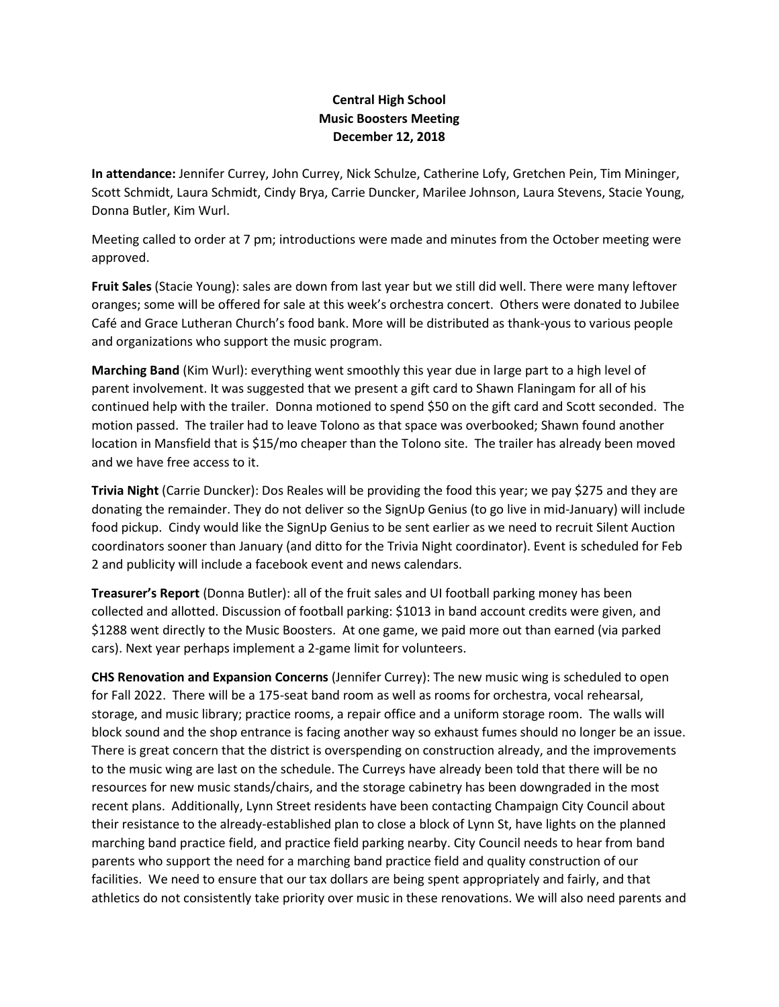## **Central High School Music Boosters Meeting December 12, 2018**

**In attendance:** Jennifer Currey, John Currey, Nick Schulze, Catherine Lofy, Gretchen Pein, Tim Mininger, Scott Schmidt, Laura Schmidt, Cindy Brya, Carrie Duncker, Marilee Johnson, Laura Stevens, Stacie Young, Donna Butler, Kim Wurl.

Meeting called to order at 7 pm; introductions were made and minutes from the October meeting were approved.

**Fruit Sales** (Stacie Young): sales are down from last year but we still did well. There were many leftover oranges; some will be offered for sale at this week's orchestra concert. Others were donated to Jubilee Café and Grace Lutheran Church's food bank. More will be distributed as thank-yous to various people and organizations who support the music program.

**Marching Band** (Kim Wurl): everything went smoothly this year due in large part to a high level of parent involvement. It was suggested that we present a gift card to Shawn Flaningam for all of his continued help with the trailer. Donna motioned to spend \$50 on the gift card and Scott seconded. The motion passed. The trailer had to leave Tolono as that space was overbooked; Shawn found another location in Mansfield that is \$15/mo cheaper than the Tolono site. The trailer has already been moved and we have free access to it.

**Trivia Night** (Carrie Duncker): Dos Reales will be providing the food this year; we pay \$275 and they are donating the remainder. They do not deliver so the SignUp Genius (to go live in mid-January) will include food pickup. Cindy would like the SignUp Genius to be sent earlier as we need to recruit Silent Auction coordinators sooner than January (and ditto for the Trivia Night coordinator). Event is scheduled for Feb 2 and publicity will include a facebook event and news calendars.

**Treasurer's Report** (Donna Butler): all of the fruit sales and UI football parking money has been collected and allotted. Discussion of football parking: \$1013 in band account credits were given, and \$1288 went directly to the Music Boosters. At one game, we paid more out than earned (via parked cars). Next year perhaps implement a 2-game limit for volunteers.

**CHS Renovation and Expansion Concerns** (Jennifer Currey): The new music wing is scheduled to open for Fall 2022. There will be a 175-seat band room as well as rooms for orchestra, vocal rehearsal, storage, and music library; practice rooms, a repair office and a uniform storage room. The walls will block sound and the shop entrance is facing another way so exhaust fumes should no longer be an issue. There is great concern that the district is overspending on construction already, and the improvements to the music wing are last on the schedule. The Curreys have already been told that there will be no resources for new music stands/chairs, and the storage cabinetry has been downgraded in the most recent plans. Additionally, Lynn Street residents have been contacting Champaign City Council about their resistance to the already-established plan to close a block of Lynn St, have lights on the planned marching band practice field, and practice field parking nearby. City Council needs to hear from band parents who support the need for a marching band practice field and quality construction of our facilities. We need to ensure that our tax dollars are being spent appropriately and fairly, and that athletics do not consistently take priority over music in these renovations. We will also need parents and